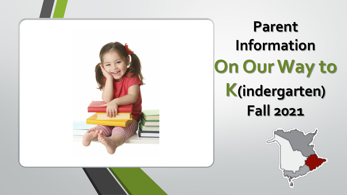

**Parent Information On Our Way to K(indergarten) Fall 2021**

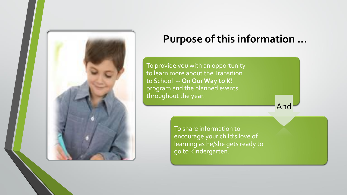

## **Purpose of this information …**

And

To provide you with an opportunity to learn more about the Transition to School -- **On Our Way to K!**  program and the planned events throughout the year.

> To share information to encourage your child's love of learning as he/she gets ready to go to Kindergarten.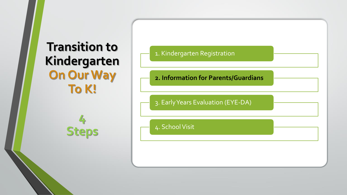## **Transition to Kindergarten On Our Way To K!**

**4**

**Steps**

### 1. Kindergarten Registration

#### **2. Information for Parents/Guardians**

#### 3. Early Years Evaluation (EYE-DA)

#### 4. School Visit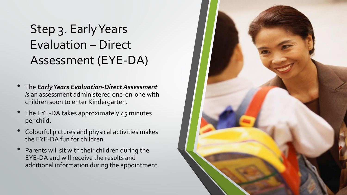# Step 3. Early Years Evaluation – Direct Assessment (EYE-DA)

- The *Early Years Evaluation-Direct Assessment is* an assessment administered one-on-one with children soon to enter Kindergarten.
- The EYE-DA takes approximately 45 minutes per child.
- Colourful pictures and physical activities makes the EYE-DA fun for children.
- Parents will sit with their children during the EYE-DA and will receive the results and additional information during the appointment.

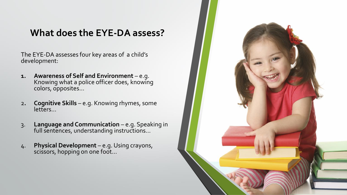### **What does the EYE-DA assess?**

The EYE-DA assesses four key areas of a child's development:

- **1. Awareness of Self and Environment** e.g. Knowing what a police officer does, knowing colors, opposites…
- 2**. Cognitive Skills**  e.g. Knowing rhymes, some letters…
- 3. **Language and Communication**  e.g. Speaking in full sentences, understanding instructions…
- 4. **Physical Development**  e.g. Using crayons, scissors, hopping on one foot…

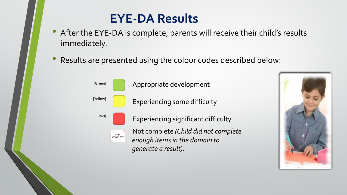## **EYE-DA Results**

- After the EYE-DA is complete, parents will receive their child's results immediately.
- Results are presented using the colour codes described below:



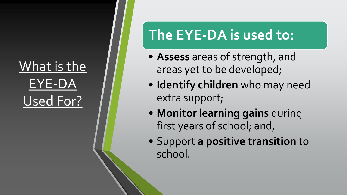# What is the EYE-DA Used For?

# **The EYE-DA is used to:**

- **Assess** areas of strength, and areas yet to be developed;
- **Identify children** who may need extra support;
- **Monitor learning gains** during first years of school; and,
- Support **a positive transition** to school.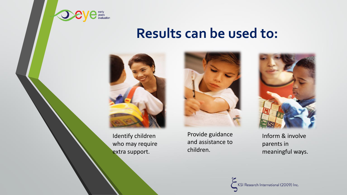

## **Results can be used to:**



Identify children who may require extra support.

Provide guidance and assistance to children.



Inform & involve parents in meaningful ways.

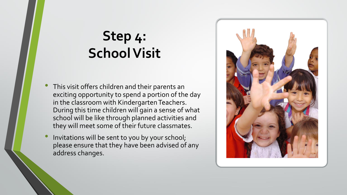# **Step 4: School Visit**

- This visit offers children and their parents an exciting opportunity to spend a portion of the day in the classroom with Kindergarten Teachers. During this time children will gain a sense of what school will be like through planned activities and they will meet some of their future classmates.
- Invitations will be sent to you by your school; please ensure that they have been advised of any address changes.

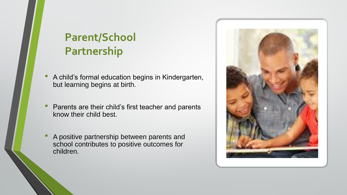## **Parent/School Partnership**

- A child's formal education begins in Kindergarten, but learning begins at birth.
- Parents are their child's first teacher and parents know their child best.
- A positive partnership between parents and school contributes to positive outcomes for children.

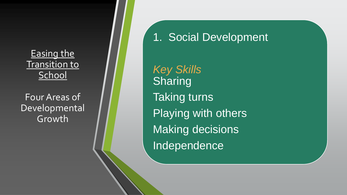Easing the **Transition to School** 

Four Areas of Developmental Growth<sup>!</sup>

1. Social Development

*Key Skills* Sharing Taking turns Playing with others Making decisions Independence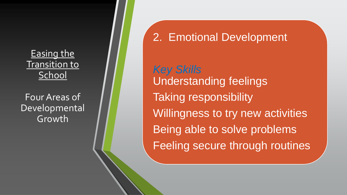Easing the Transition to **School** 

Four Areas of Developmental Growth

2. Emotional Development

*Key Skills* Understanding feelings Taking responsibility Willingness to try new activities Being able to solve problems Feeling secure through routines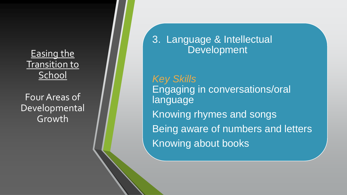Easing the **Transition to** School

Four Areas of Developmental Growth

3. Language & Intellectual Development

*Key Skills* Engaging in conversations/oral **language** Knowing rhymes and songs Being aware of numbers and letters Knowing about books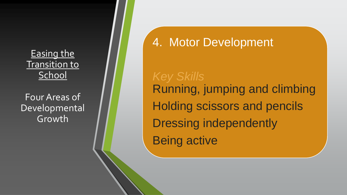Easing the **Transition to School** 

Four Areas of Developmental Growth<sup>!</sup>

## 4. Motor Development

*Key Skills* Running, jumping and climbing Holding scissors and pencils Dressing independently Being active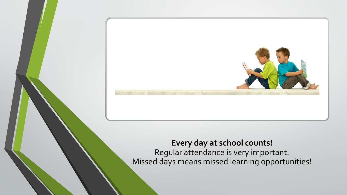

### **Every day at school counts!** Regular attendance is very important. Missed days means missed learning opportunities!